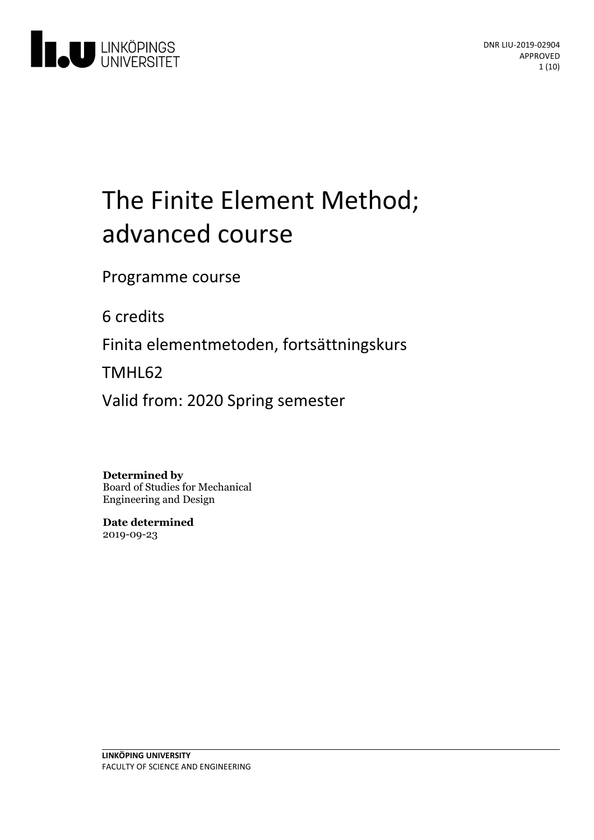

# The Finite Element Method; advanced course

Programme course

6 credits

Finita elementmetoden, fortsättningskurs

TMHL62

Valid from: 2020 Spring semester

**Determined by**

Board of Studies for Mechanical Engineering and Design

**Date determined** 2019-09-23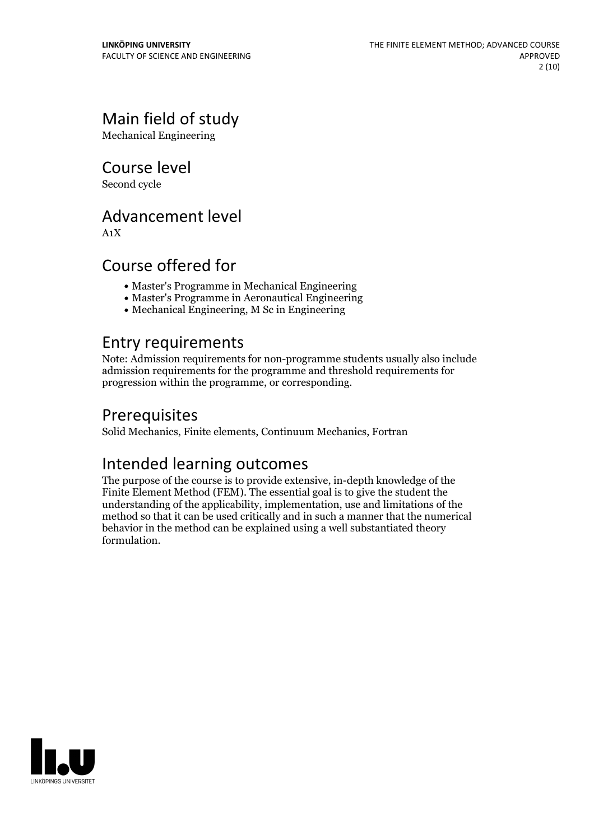# Main field of study

Mechanical Engineering

Course level

Second cycle

## Advancement level

A1X

# Course offered for

- Master's Programme in Mechanical Engineering
- Master's Programme in Aeronautical Engineering
- Mechanical Engineering, M Sc in Engineering

## Entry requirements

Note: Admission requirements for non-programme students usually also include admission requirements for the programme and threshold requirements for progression within the programme, or corresponding.

# **Prerequisites**

Solid Mechanics, Finite elements, Continuum Mechanics, Fortran

# Intended learning outcomes

The purpose of the course is to provide extensive, in-depth knowledge of the Finite Element Method (FEM). The essential goal is to give the student the understanding of the applicability, implementation, use and limitations of the method so that it can be used critically and in such a manner that the numerical behavior in the method can be explained using a well substantiated theory formulation.

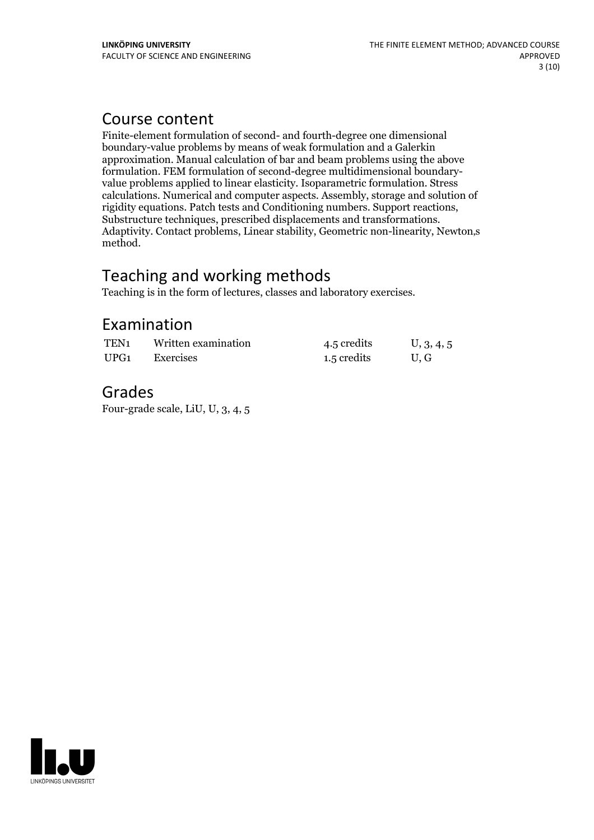### Course content

Finite-element formulation of second- and fourth-degree one dimensional boundary-value problems by means of weak formulation and a Galerkin approximation. Manual calculation of bar and beam problems using the above value problems applied to linear elasticity. Isoparametric formulation. Stress calculations. Numerical and computer aspects. Assembly, storage and solution of Substructure techniques, prescribed displacements and transformations.<br>Adaptivity. Contact problems, Linear stability, Geometric non-linearity, Newton,s method.

# Teaching and working methods

Teaching is in the form of lectures, classes and laboratory exercises.

# Examination

| TEN <sub>1</sub> | Written examination | 4.5 credits | U, 3, 4, 5 |
|------------------|---------------------|-------------|------------|
| UPG1             | Exercises           | 1.5 credits | U.G        |

### Grades

Four-grade scale, LiU, U, 3, 4, 5

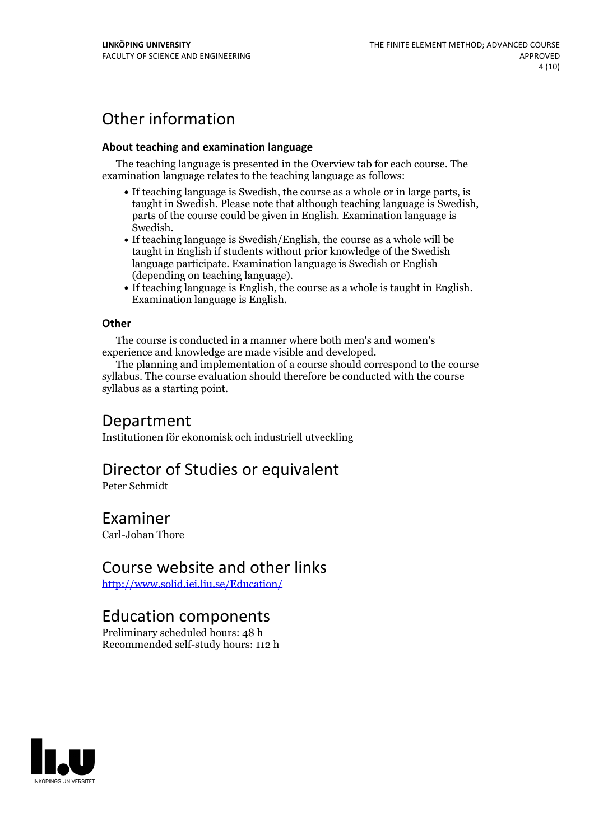# Other information

#### **About teaching and examination language**

The teaching language is presented in the Overview tab for each course. The examination language relates to the teaching language as follows:

- If teaching language is Swedish, the course as a whole or in large parts, is taught in Swedish. Please note that although teaching language is Swedish, parts of the course could be given in English. Examination language is
- Swedish.<br>• If teaching language is Swedish/English, the course as a whole will be taught in English if students without prior knowledge of the Swedish language participate. Examination language is Swedish or English
- $\bullet$  If teaching language is English, the course as a whole is taught in English. Examination language is English.

#### **Other**

The course is conducted in a manner where both men's and women's

experience and knowledge are made visible and developed. The planning and implementation of <sup>a</sup> course should correspond to the course syllabus. The course evaluation should therefore be conducted with the course syllabus as a starting point.

### Department

Institutionen för ekonomisk och industriell utveckling

## Director of Studies or equivalent

Peter Schmidt

### Examiner

Carl-Johan Thore

### Course website and other links

<http://www.solid.iei.liu.se/Education/>

### Education components

Preliminary scheduled hours: 48 h Recommended self-study hours: 112 h

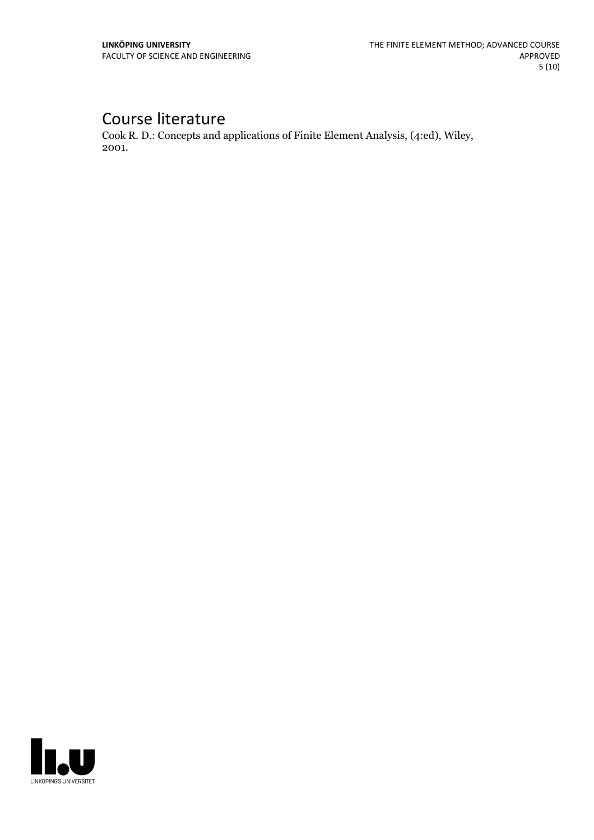# Course literature

Cook R. D.: Concepts and applications of Finite Element Analysis, (4:ed), Wiley, 2001.

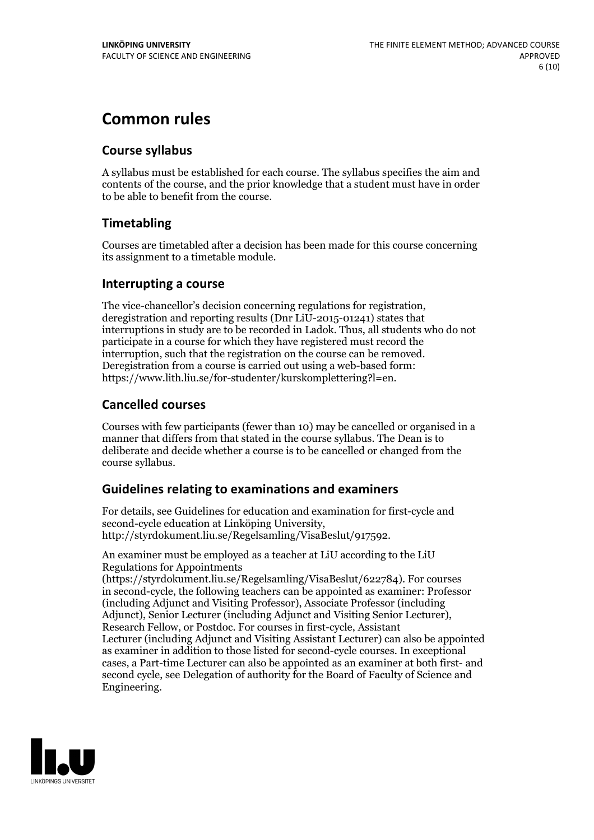# **Common rules**

#### **Course syllabus**

A syllabus must be established for each course. The syllabus specifies the aim and contents of the course, and the prior knowledge that a student must have in order to be able to benefit from the course.

### **Timetabling**

Courses are timetabled after a decision has been made for this course concerning its assignment to a timetable module.

#### **Interrupting a course**

The vice-chancellor's decision concerning regulations for registration, deregistration and reporting results (Dnr LiU-2015-01241) states that interruptions in study are to be recorded in Ladok. Thus, all students who do not participate in a course for which they have registered must record the interruption, such that the registration on the course can be removed. Deregistration from <sup>a</sup> course is carried outusing <sup>a</sup> web-based form: https://www.lith.liu.se/for-studenter/kurskomplettering?l=en.

### **Cancelled courses**

Courses with few participants (fewer than 10) may be cancelled or organised in a manner that differs from that stated in the course syllabus. The Dean is to deliberate and decide whether a course is to be cancelled or changed from the course syllabus.

### **Guidelines relatingto examinations and examiners**

For details, see Guidelines for education and examination for first-cycle and second-cycle education at Linköping University, http://styrdokument.liu.se/Regelsamling/VisaBeslut/917592.

An examiner must be employed as a teacher at LiU according to the LiU Regulations for Appointments

(https://styrdokument.liu.se/Regelsamling/VisaBeslut/622784). For courses in second-cycle, the following teachers can be appointed as examiner: Professor (including Adjunct and Visiting Professor), Associate Professor (including Adjunct), Senior Lecturer (including Adjunct and Visiting Senior Lecturer), Research Fellow, or Postdoc. For courses in first-cycle, Assistant Lecturer (including Adjunct and Visiting Assistant Lecturer) can also be appointed as examiner in addition to those listed for second-cycle courses. In exceptional cases, a Part-time Lecturer can also be appointed as an examiner at both first- and second cycle, see Delegation of authority for the Board of Faculty of Science and Engineering.

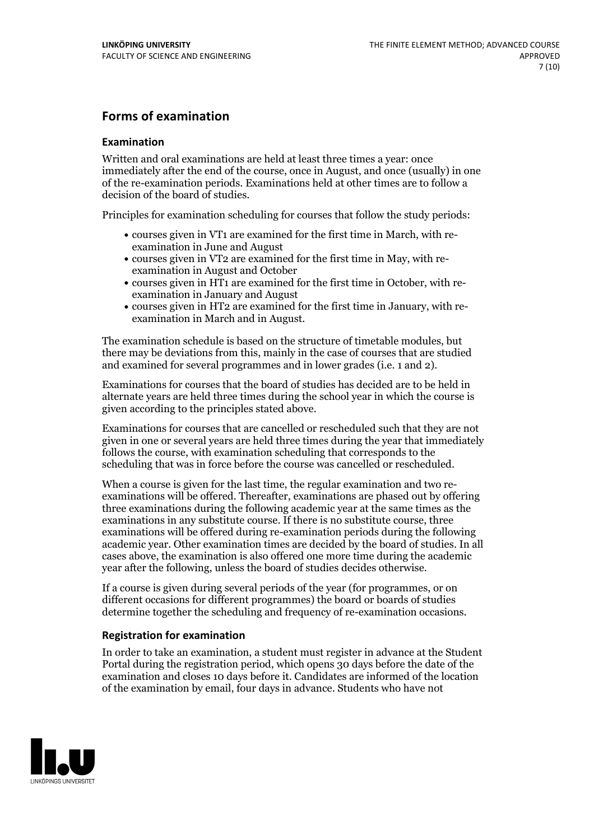#### **Forms of examination**

#### **Examination**

Written and oral examinations are held at least three times a year: once immediately after the end of the course, once in August, and once (usually) in one of the re-examination periods. Examinations held at other times are to follow a decision of the board of studies.

Principles for examination scheduling for courses that follow the study periods:

- courses given in VT1 are examined for the first time in March, with re-examination in June and August
- courses given in VT2 are examined for the first time in May, with re-examination in August and October
- courses given in HT1 are examined for the first time in October, with re-examination in January and August
- courses given in HT2 are examined for the first time in January, with re-examination in March and in August.

The examination schedule is based on the structure of timetable modules, but there may be deviations from this, mainly in the case of courses that are studied and examined for several programmes and in lower grades (i.e. 1 and 2).

Examinations for courses that the board of studies has decided are to be held in alternate years are held three times during the school year in which the course is given according to the principles stated above.

Examinations for courses that are cancelled orrescheduled such that they are not given in one or several years are held three times during the year that immediately follows the course, with examination scheduling that corresponds to the scheduling that was in force before the course was cancelled or rescheduled.

When a course is given for the last time, the regular examination and two re-<br>examinations will be offered. Thereafter, examinations are phased out by offering three examinations during the following academic year at the same times as the examinations in any substitute course. If there is no substitute course, three examinations will be offered during re-examination periods during the following academic year. Other examination times are decided by the board of studies. In all cases above, the examination is also offered one more time during the academic year after the following, unless the board of studies decides otherwise.

If a course is given during several periods of the year (for programmes, or on different occasions for different programmes) the board or boards of studies determine together the scheduling and frequency of re-examination occasions.

#### **Registration for examination**

In order to take an examination, a student must register in advance at the Student Portal during the registration period, which opens 30 days before the date of the examination and closes 10 days before it. Candidates are informed of the location of the examination by email, four days in advance. Students who have not

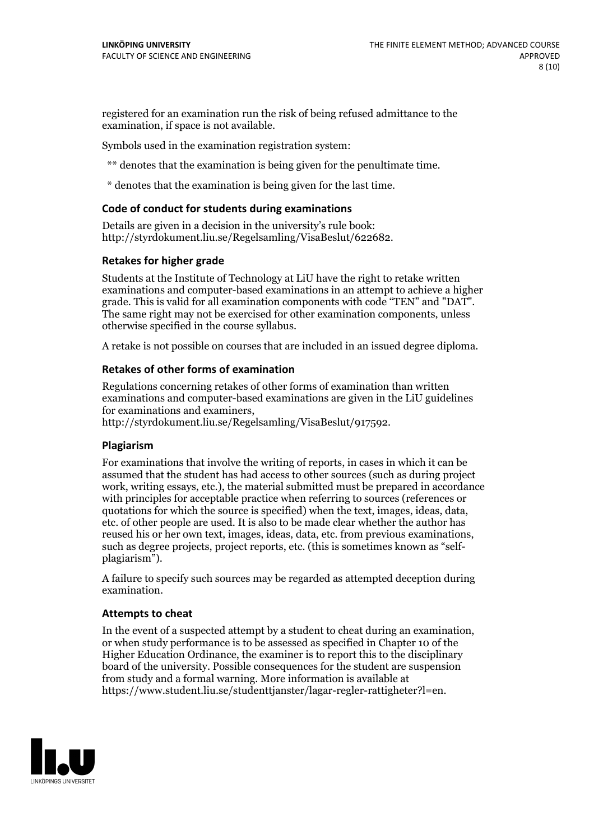registered for an examination run the risk of being refused admittance to the examination, if space is not available.

Symbols used in the examination registration system:

\*\* denotes that the examination is being given for the penultimate time.

\* denotes that the examination is being given for the last time.

#### **Code of conduct for students during examinations**

Details are given in a decision in the university's rule book: http://styrdokument.liu.se/Regelsamling/VisaBeslut/622682.

#### **Retakes for higher grade**

Students at the Institute of Technology at LiU have the right to retake written examinations and computer-based examinations in an attempt to achieve a higher grade. This is valid for all examination components with code "TEN" and "DAT". The same right may not be exercised for other examination components, unless otherwise specified in the course syllabus.

A retake is not possible on courses that are included in an issued degree diploma.

#### **Retakes of other forms of examination**

Regulations concerning retakes of other forms of examination than written examinations and computer-based examinations are given in the LiU guidelines

http://styrdokument.liu.se/Regelsamling/VisaBeslut/917592.

#### **Plagiarism**

For examinations that involve the writing of reports, in cases in which it can be assumed that the student has had access to other sources (such as during project work, writing essays, etc.), the material submitted must be prepared in accordance with principles for acceptable practice when referring to sources (references or quotations for which the source is specified) when the text, images, ideas, data,  $\vec{e}$  etc. of other people are used. It is also to be made clear whether the author has reused his or her own text, images, ideas, data, etc. from previous examinations, such as degree projects, project reports, etc. (this is sometimes known as "self- plagiarism").

A failure to specify such sources may be regarded as attempted deception during examination.

#### **Attempts to cheat**

In the event of <sup>a</sup> suspected attempt by <sup>a</sup> student to cheat during an examination, or when study performance is to be assessed as specified in Chapter <sup>10</sup> of the Higher Education Ordinance, the examiner is to report this to the disciplinary board of the university. Possible consequences for the student are suspension from study and a formal warning. More information is available at https://www.student.liu.se/studenttjanster/lagar-regler-rattigheter?l=en.

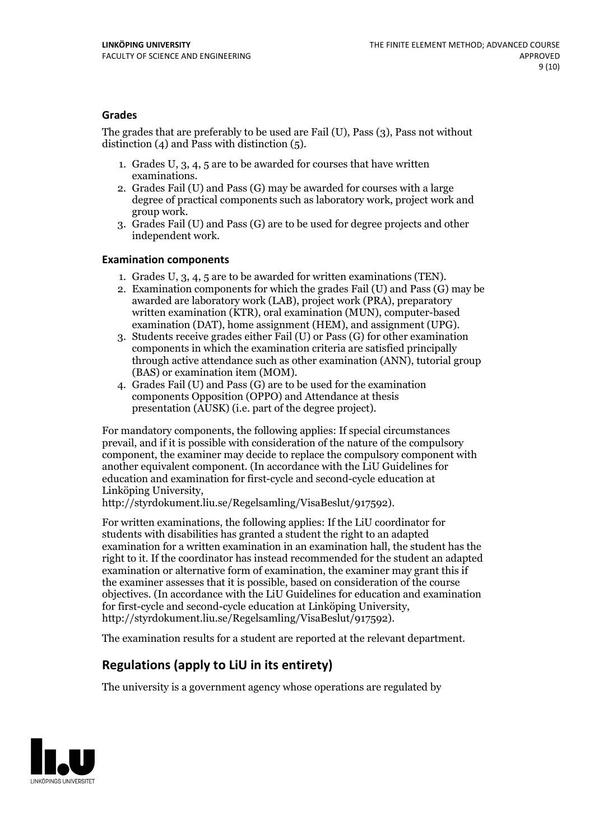#### **Grades**

The grades that are preferably to be used are Fail (U), Pass (3), Pass not without distinction  $(4)$  and Pass with distinction  $(5)$ .

- 1. Grades U, 3, 4, 5 are to be awarded for courses that have written
- examinations. 2. Grades Fail (U) and Pass (G) may be awarded for courses with <sup>a</sup> large degree of practical components such as laboratory work, project work and group work. 3. Grades Fail (U) and Pass (G) are to be used for degree projects and other
- independent work.

#### **Examination components**

- 
- 1. Grades U, 3, 4, <sup>5</sup> are to be awarded for written examinations (TEN). 2. Examination components for which the grades Fail (U) and Pass (G) may be awarded are laboratory work (LAB), project work (PRA), preparatory written examination (KTR), oral examination (MUN), computer-based
- examination (DAT), home assignment (HEM), and assignment (UPG). 3. Students receive grades either Fail (U) or Pass (G) for other examination components in which the examination criteria are satisfied principally through active attendance such as other examination (ANN), tutorial group
- (BAS) or examination item (MOM). 4. Grades Fail (U) and Pass (G) are to be used for the examination components Opposition (OPPO) and Attendance at thesis presentation (AUSK) (i.e. part of the degree project).

For mandatory components, the following applies: If special circumstances prevail, and if it is possible with consideration of the nature of the compulsory component, the examiner may decide to replace the compulsory component with another equivalent component. (In accordance with the LiU Guidelines for education and examination for first-cycle and second-cycle education at Linköping University, http://styrdokument.liu.se/Regelsamling/VisaBeslut/917592).

For written examinations, the following applies: If the LiU coordinator for students with disabilities has granted a student the right to an adapted examination for a written examination in an examination hall, the student has the right to it. If the coordinator has instead recommended for the student an adapted examination or alternative form of examination, the examiner may grant this if the examiner assesses that it is possible, based on consideration of the course objectives. (In accordance with the LiU Guidelines for education and examination for first-cycle and second-cycle education at Linköping University, http://styrdokument.liu.se/Regelsamling/VisaBeslut/917592).

The examination results for a student are reported at the relevant department.

### **Regulations (applyto LiU in its entirety)**

The university is a government agency whose operations are regulated by